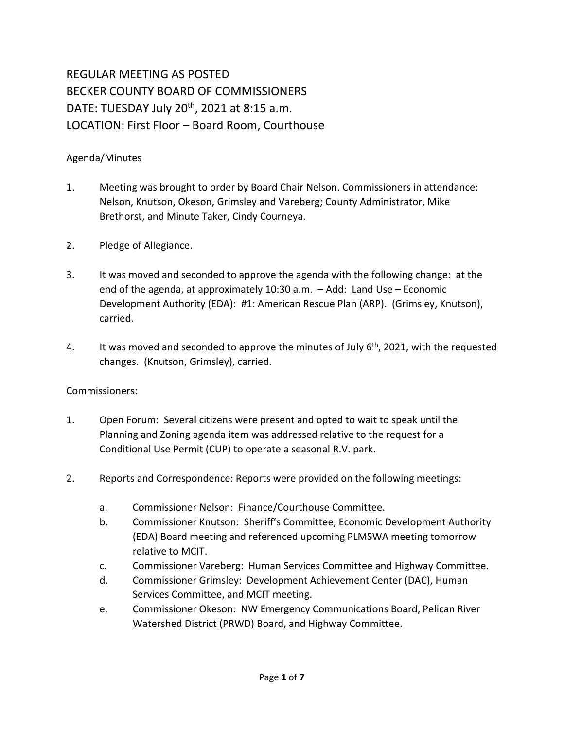## REGULAR MEETING AS POSTED BECKER COUNTY BOARD OF COMMISSIONERS DATE: TUESDAY July 20<sup>th</sup>, 2021 at 8:15 a.m. LOCATION: First Floor – Board Room, Courthouse

## Agenda/Minutes

- 1. Meeting was brought to order by Board Chair Nelson. Commissioners in attendance: Nelson, Knutson, Okeson, Grimsley and Vareberg; County Administrator, Mike Brethorst, and Minute Taker, Cindy Courneya.
- 2. Pledge of Allegiance.
- 3. It was moved and seconded to approve the agenda with the following change: at the end of the agenda, at approximately 10:30 a.m. – Add: Land Use – Economic Development Authority (EDA): #1: American Rescue Plan (ARP). (Grimsley, Knutson), carried.
- 4. It was moved and seconded to approve the minutes of July  $6<sup>th</sup>$ , 2021, with the requested changes. (Knutson, Grimsley), carried.

## Commissioners:

- 1. Open Forum: Several citizens were present and opted to wait to speak until the Planning and Zoning agenda item was addressed relative to the request for a Conditional Use Permit (CUP) to operate a seasonal R.V. park.
- 2. Reports and Correspondence: Reports were provided on the following meetings:
	- a. Commissioner Nelson: Finance/Courthouse Committee.
	- b. Commissioner Knutson: Sheriff's Committee, Economic Development Authority (EDA) Board meeting and referenced upcoming PLMSWA meeting tomorrow relative to MCIT.
	- c. Commissioner Vareberg: Human Services Committee and Highway Committee.
	- d. Commissioner Grimsley: Development Achievement Center (DAC), Human Services Committee, and MCIT meeting.
	- e. Commissioner Okeson: NW Emergency Communications Board, Pelican River Watershed District (PRWD) Board, and Highway Committee.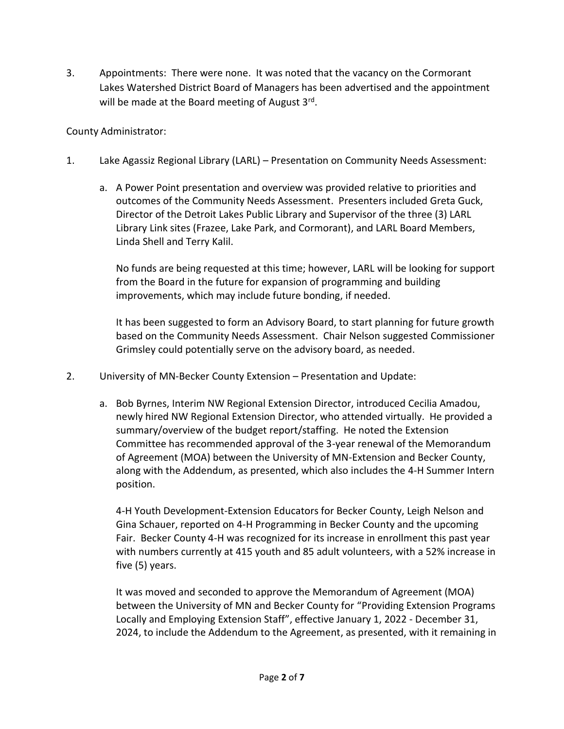3. Appointments: There were none. It was noted that the vacancy on the Cormorant Lakes Watershed District Board of Managers has been advertised and the appointment will be made at the Board meeting of August 3<sup>rd</sup>.

## County Administrator:

- 1. Lake Agassiz Regional Library (LARL) Presentation on Community Needs Assessment:
	- a. A Power Point presentation and overview was provided relative to priorities and outcomes of the Community Needs Assessment. Presenters included Greta Guck, Director of the Detroit Lakes Public Library and Supervisor of the three (3) LARL Library Link sites (Frazee, Lake Park, and Cormorant), and LARL Board Members, Linda Shell and Terry Kalil.

No funds are being requested at this time; however, LARL will be looking for support from the Board in the future for expansion of programming and building improvements, which may include future bonding, if needed.

It has been suggested to form an Advisory Board, to start planning for future growth based on the Community Needs Assessment. Chair Nelson suggested Commissioner Grimsley could potentially serve on the advisory board, as needed.

- 2. University of MN-Becker County Extension Presentation and Update:
	- a. Bob Byrnes, Interim NW Regional Extension Director, introduced Cecilia Amadou, newly hired NW Regional Extension Director, who attended virtually. He provided a summary/overview of the budget report/staffing. He noted the Extension Committee has recommended approval of the 3-year renewal of the Memorandum of Agreement (MOA) between the University of MN-Extension and Becker County, along with the Addendum, as presented, which also includes the 4-H Summer Intern position.

4-H Youth Development-Extension Educators for Becker County, Leigh Nelson and Gina Schauer, reported on 4-H Programming in Becker County and the upcoming Fair. Becker County 4-H was recognized for its increase in enrollment this past year with numbers currently at 415 youth and 85 adult volunteers, with a 52% increase in five (5) years.

It was moved and seconded to approve the Memorandum of Agreement (MOA) between the University of MN and Becker County for "Providing Extension Programs Locally and Employing Extension Staff", effective January 1, 2022 - December 31, 2024, to include the Addendum to the Agreement, as presented, with it remaining in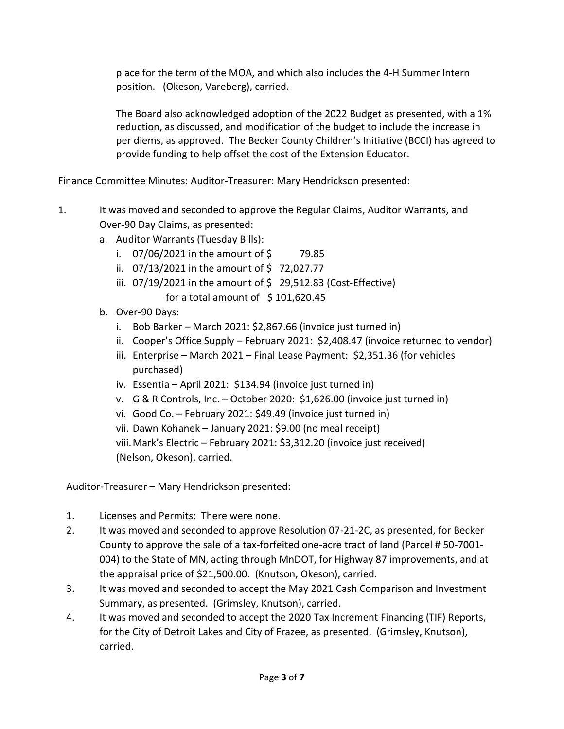place for the term of the MOA, and which also includes the 4-H Summer Intern position. (Okeson, Vareberg), carried.

The Board also acknowledged adoption of the 2022 Budget as presented, with a 1% reduction, as discussed, and modification of the budget to include the increase in per diems, as approved. The Becker County Children's Initiative (BCCI) has agreed to provide funding to help offset the cost of the Extension Educator.

Finance Committee Minutes: Auditor-Treasurer: Mary Hendrickson presented:

- 1. It was moved and seconded to approve the Regular Claims, Auditor Warrants, and Over-90 Day Claims, as presented:
	- a. Auditor Warrants (Tuesday Bills):
		- i. 07/06/2021 in the amount of \$ 79.85
		- ii.  $07/13/2021$  in the amount of \$72,027.77
		- iii.  $07/19/2021$  in the amount of  $\frac{6}{5}$  29,512.83 (Cost-Effective) for a total amount of  $\;$  \$ 101,620.45
	- b. Over-90 Days:
		- i. Bob Barker March 2021: \$2,867.66 (invoice just turned in)
		- ii. Cooper's Office Supply February 2021: \$2,408.47 (invoice returned to vendor)
		- iii. Enterprise March 2021 Final Lease Payment: \$2,351.36 (for vehicles purchased)
		- iv. Essentia April 2021: \$134.94 (invoice just turned in)
		- v. G & R Controls, Inc. October 2020: \$1,626.00 (invoice just turned in)
		- vi. Good Co. February 2021: \$49.49 (invoice just turned in)
		- vii. Dawn Kohanek January 2021: \$9.00 (no meal receipt)

viii.Mark's Electric – February 2021: \$3,312.20 (invoice just received) (Nelson, Okeson), carried.

Auditor-Treasurer – Mary Hendrickson presented:

- 1. Licenses and Permits: There were none.
- 2. It was moved and seconded to approve Resolution 07-21-2C, as presented, for Becker County to approve the sale of a tax-forfeited one-acre tract of land (Parcel # 50-7001- 004) to the State of MN, acting through MnDOT, for Highway 87 improvements, and at the appraisal price of \$21,500.00. (Knutson, Okeson), carried.
- 3. It was moved and seconded to accept the May 2021 Cash Comparison and Investment Summary, as presented. (Grimsley, Knutson), carried.
- 4. It was moved and seconded to accept the 2020 Tax Increment Financing (TIF) Reports, for the City of Detroit Lakes and City of Frazee, as presented. (Grimsley, Knutson), carried.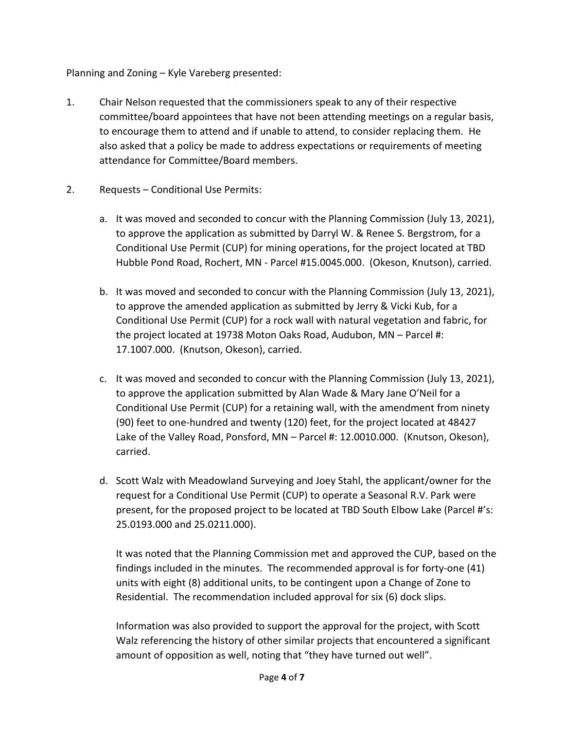Planning and Zoning – Kyle Vareberg presented:

- 1. Chair Nelson requested that the commissioners speak to any of their respective committee/board appointees that have not been attending meetings on a regular basis, to encourage them to attend and if unable to attend, to consider replacing them. He also asked that a policy be made to address expectations or requirements of meeting attendance for Committee/Board members.
- 2. Requests Conditional Use Permits:
	- a. It was moved and seconded to concur with the Planning Commission (July 13, 2021), to approve the application as submitted by Darryl W. & Renee S. Bergstrom, for a Conditional Use Permit (CUP) for mining operations, for the project located at TBD Hubble Pond Road, Rochert, MN - Parcel #15.0045.000. (Okeson, Knutson), carried.
	- b. It was moved and seconded to concur with the Planning Commission (July 13, 2021), to approve the amended application as submitted by Jerry & Vicki Kub, for a Conditional Use Permit (CUP) for a rock wall with natural vegetation and fabric, for the project located at 19738 Moton Oaks Road, Audubon, MN – Parcel #: 17.1007.000. (Knutson, Okeson), carried.
	- c. It was moved and seconded to concur with the Planning Commission (July 13, 2021), to approve the application submitted by Alan Wade & Mary Jane O'Neil for a Conditional Use Permit (CUP) for a retaining wall, with the amendment from ninety (90) feet to one-hundred and twenty (120) feet, for the project located at 48427 Lake of the Valley Road, Ponsford, MN - Parcel #: 12.0010.000. (Knutson, Okeson), carried.
	- d. Scott Walz with Meadowland Surveying and Joey Stahl, the applicant/owner for the request for a Conditional Use Permit (CUP) to operate a Seasonal R.V. Park were present, for the proposed project to be located at TBD South Elbow Lake (Parcel #'s: 25.0193.000 and 25.0211.000).

It was noted that the Planning Commission met and approved the CUP, based on the findings included in the minutes. The recommended approval is for forty-one (41) units with eight (8) additional units, to be contingent upon a Change of Zone to Residential. The recommendation included approval for six (6) dock slips.

Information was also provided to support the approval for the project, with Scott Walz referencing the history of other similar projects that encountered a significant amount of opposition as well, noting that "they have turned out well".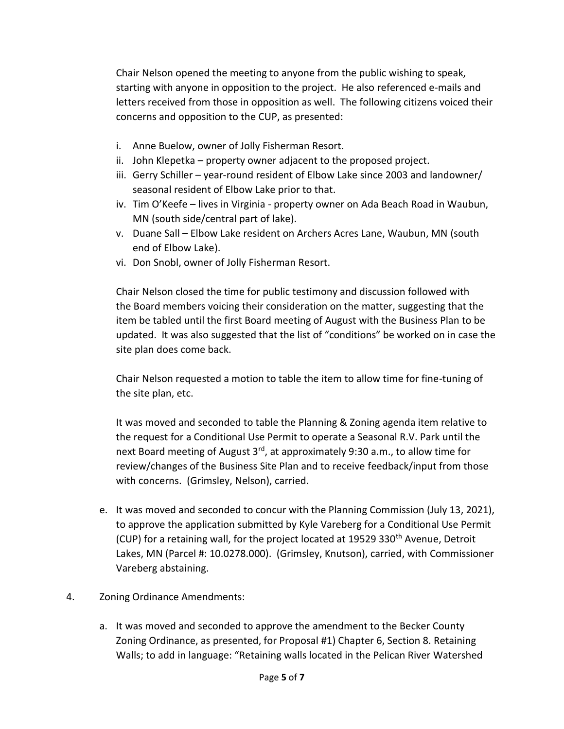Chair Nelson opened the meeting to anyone from the public wishing to speak, starting with anyone in opposition to the project. He also referenced e-mails and letters received from those in opposition as well. The following citizens voiced their concerns and opposition to the CUP, as presented:

- i. Anne Buelow, owner of Jolly Fisherman Resort.
- ii. John Klepetka property owner adjacent to the proposed project.
- iii. Gerry Schiller year-round resident of Elbow Lake since 2003 and landowner/ seasonal resident of Elbow Lake prior to that.
- iv. Tim O'Keefe lives in Virginia property owner on Ada Beach Road in Waubun, MN (south side/central part of lake).
- v. Duane Sall Elbow Lake resident on Archers Acres Lane, Waubun, MN (south end of Elbow Lake).
- vi. Don Snobl, owner of Jolly Fisherman Resort.

Chair Nelson closed the time for public testimony and discussion followed with the Board members voicing their consideration on the matter, suggesting that the item be tabled until the first Board meeting of August with the Business Plan to be updated. It was also suggested that the list of "conditions" be worked on in case the site plan does come back.

Chair Nelson requested a motion to table the item to allow time for fine-tuning of the site plan, etc.

It was moved and seconded to table the Planning & Zoning agenda item relative to the request for a Conditional Use Permit to operate a Seasonal R.V. Park until the next Board meeting of August 3<sup>rd</sup>, at approximately 9:30 a.m., to allow time for review/changes of the Business Site Plan and to receive feedback/input from those with concerns. (Grimsley, Nelson), carried.

- e. It was moved and seconded to concur with the Planning Commission (July 13, 2021), to approve the application submitted by Kyle Vareberg for a Conditional Use Permit (CUP) for a retaining wall, for the project located at 19529 330<sup>th</sup> Avenue, Detroit Lakes, MN (Parcel #: 10.0278.000). (Grimsley, Knutson), carried, with Commissioner Vareberg abstaining.
- 4. Zoning Ordinance Amendments:
	- a. It was moved and seconded to approve the amendment to the Becker County Zoning Ordinance, as presented, for Proposal #1) Chapter 6, Section 8. Retaining Walls; to add in language: "Retaining walls located in the Pelican River Watershed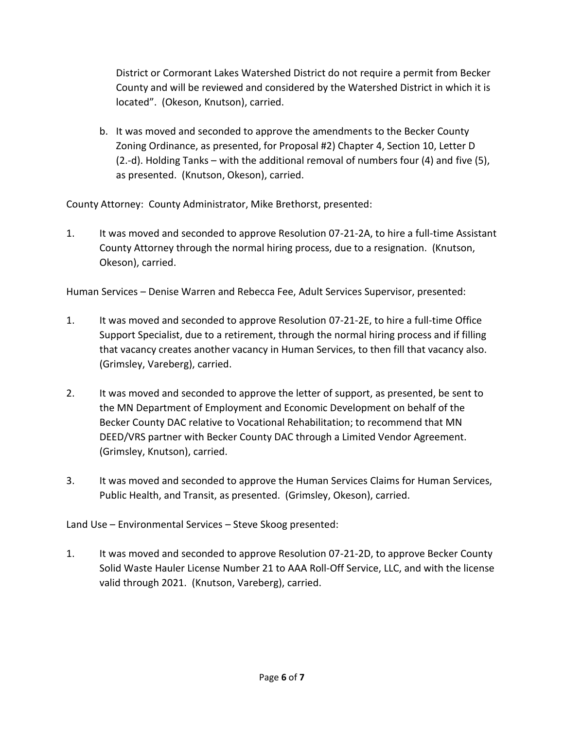District or Cormorant Lakes Watershed District do not require a permit from Becker County and will be reviewed and considered by the Watershed District in which it is located". (Okeson, Knutson), carried.

b. It was moved and seconded to approve the amendments to the Becker County Zoning Ordinance, as presented, for Proposal #2) Chapter 4, Section 10, Letter D (2.-d). Holding Tanks – with the additional removal of numbers four (4) and five (5), as presented. (Knutson, Okeson), carried.

County Attorney: County Administrator, Mike Brethorst, presented:

1. It was moved and seconded to approve Resolution 07-21-2A, to hire a full-time Assistant County Attorney through the normal hiring process, due to a resignation. (Knutson, Okeson), carried.

Human Services – Denise Warren and Rebecca Fee, Adult Services Supervisor, presented:

- 1. It was moved and seconded to approve Resolution 07-21-2E, to hire a full-time Office Support Specialist, due to a retirement, through the normal hiring process and if filling that vacancy creates another vacancy in Human Services, to then fill that vacancy also. (Grimsley, Vareberg), carried.
- 2. It was moved and seconded to approve the letter of support, as presented, be sent to the MN Department of Employment and Economic Development on behalf of the Becker County DAC relative to Vocational Rehabilitation; to recommend that MN DEED/VRS partner with Becker County DAC through a Limited Vendor Agreement. (Grimsley, Knutson), carried.
- 3. It was moved and seconded to approve the Human Services Claims for Human Services, Public Health, and Transit, as presented. (Grimsley, Okeson), carried.

Land Use – Environmental Services – Steve Skoog presented:

1. It was moved and seconded to approve Resolution 07-21-2D, to approve Becker County Solid Waste Hauler License Number 21 to AAA Roll-Off Service, LLC, and with the license valid through 2021. (Knutson, Vareberg), carried.